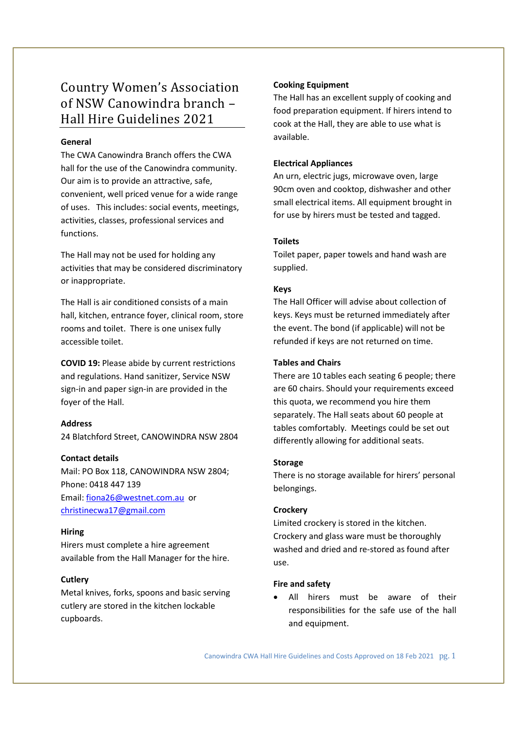# Country Women's Association of NSW Canowindra branch – Hall Hire Guidelines 2021

## General

The CWA Canowindra Branch offers the CWA hall for the use of the Canowindra community. Our aim is to provide an attractive, safe, convenient, well priced venue for a wide range of uses. This includes: social events, meetings, activities, classes, professional services and functions.

The Hall may not be used for holding any activities that may be considered discriminatory or inappropriate.

The Hall is air conditioned consists of a main hall, kitchen, entrance foyer, clinical room, store rooms and toilet. There is one unisex fully accessible toilet.

COVID 19: Please abide by current restrictions and regulations. Hand sanitizer, Service NSW sign-in and paper sign-in are provided in the foyer of the Hall.

## Address

24 Blatchford Street, CANOWINDRA NSW 2804

#### Contact details

Mail: PO Box 118, CANOWINDRA NSW 2804; Phone: 0418 447 139 Email: fiona26@westnet.com.au or christinecwa17@gmail.com

#### Hiring

Hirers must complete a hire agreement available from the Hall Manager for the hire.

## **Cutlery**

Metal knives, forks, spoons and basic serving cutlery are stored in the kitchen lockable cupboards.

## Cooking Equipment

The Hall has an excellent supply of cooking and food preparation equipment. If hirers intend to cook at the Hall, they are able to use what is available.

### Electrical Appliances

An urn, electric jugs, microwave oven, large 90cm oven and cooktop, dishwasher and other small electrical items. All equipment brought in for use by hirers must be tested and tagged.

## Toilets

Toilet paper, paper towels and hand wash are supplied.

## Keys

The Hall Officer will advise about collection of keys. Keys must be returned immediately after the event. The bond (if applicable) will not be refunded if keys are not returned on time.

### Tables and Chairs

There are 10 tables each seating 6 people; there are 60 chairs. Should your requirements exceed this quota, we recommend you hire them separately. The Hall seats about 60 people at tables comfortably. Meetings could be set out differently allowing for additional seats.

#### Storage

There is no storage available for hirers' personal belongings.

#### **Crockery**

Limited crockery is stored in the kitchen. Crockery and glass ware must be thoroughly washed and dried and re-stored as found after use.

## Fire and safety

 All hirers must be aware of their responsibilities for the safe use of the hall and equipment.

Canowindra CWA Hall Hire Guidelines and Costs Approved on 18 Feb 2021 pg. 1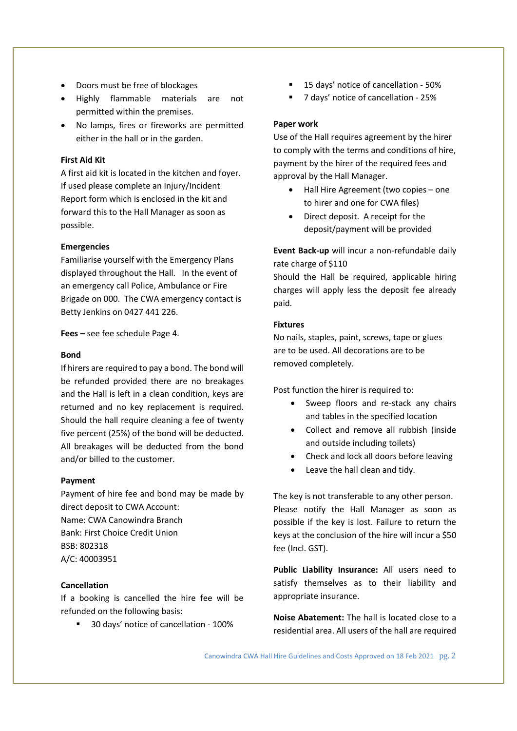- Doors must be free of blockages
- Highly flammable materials are not permitted within the premises.
- No lamps, fires or fireworks are permitted either in the hall or in the garden.

## First Aid Kit

A first aid kit is located in the kitchen and foyer. If used please complete an Injury/Incident Report form which is enclosed in the kit and forward this to the Hall Manager as soon as possible.

#### Emergencies

Familiarise yourself with the Emergency Plans displayed throughout the Hall. In the event of an emergency call Police, Ambulance or Fire Brigade on 000. The CWA emergency contact is Betty Jenkins on 0427 441 226.

Fees – see fee schedule Page 4.

#### Bond

If hirers are required to pay a bond. The bond will be refunded provided there are no breakages and the Hall is left in a clean condition, keys are returned and no key replacement is required. Should the hall require cleaning a fee of twenty five percent (25%) of the bond will be deducted. All breakages will be deducted from the bond and/or billed to the customer.

#### Payment

Payment of hire fee and bond may be made by direct deposit to CWA Account: Name: CWA Canowindra Branch Bank: First Choice Credit Union BSB: 802318 A/C: 40003951

#### Cancellation

If a booking is cancelled the hire fee will be refunded on the following basis:

<sup>30</sup> days' notice of cancellation - 100%

- 15 days' notice of cancellation 50%
- 7 days' notice of cancellation 25%

### Paper work

Use of the Hall requires agreement by the hirer to comply with the terms and conditions of hire, payment by the hirer of the required fees and approval by the Hall Manager.

- Hall Hire Agreement (two copies one to hirer and one for CWA files)
- Direct deposit. A receipt for the deposit/payment will be provided

Event Back-up will incur a non-refundable daily rate charge of \$110

Should the Hall be required, applicable hiring charges will apply less the deposit fee already paid.

#### Fixtures

No nails, staples, paint, screws, tape or glues are to be used. All decorations are to be removed completely.

Post function the hirer is required to:

- Sweep floors and re-stack any chairs and tables in the specified location
- Collect and remove all rubbish (inside and outside including toilets)
- Check and lock all doors before leaving
- Leave the hall clean and tidy.

The key is not transferable to any other person. Please notify the Hall Manager as soon as possible if the key is lost. Failure to return the keys at the conclusion of the hire will incur a \$50 fee (Incl. GST).

Public Liability Insurance: All users need to satisfy themselves as to their liability and appropriate insurance.

Noise Abatement: The hall is located close to a residential area. All users of the hall are required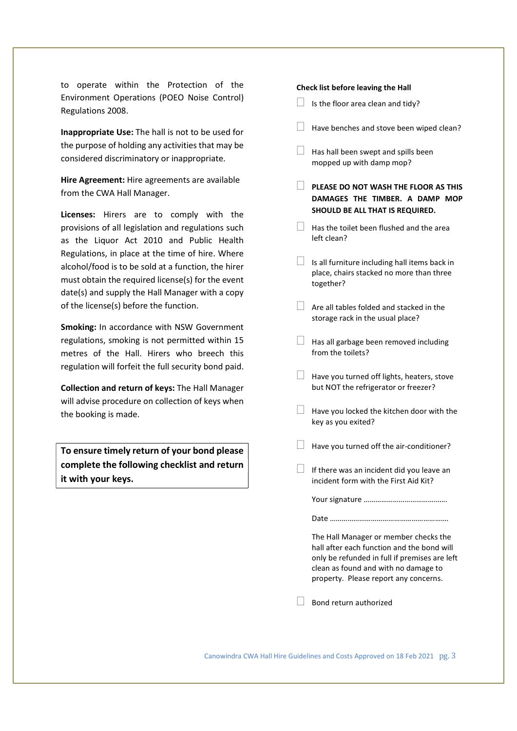to operate within the Protection of the Environment Operations (POEO Noise Control) Regulations 2008.

Inappropriate Use: The hall is not to be used for the purpose of holding any activities that may be considered discriminatory or inappropriate.

Hire Agreement: Hire agreements are available from the CWA Hall Manager.

Licenses: Hirers are to comply with the provisions of all legislation and regulations such as the Liquor Act 2010 and Public Health Regulations, in place at the time of hire. Where alcohol/food is to be sold at a function, the hirer must obtain the required license(s) for the event date(s) and supply the Hall Manager with a copy of the license(s) before the function.

Smoking: In accordance with NSW Government regulations, smoking is not permitted within 15 metres of the Hall. Hirers who breech this regulation will forfeit the full security bond paid.

Collection and return of keys: The Hall Manager will advise procedure on collection of keys when the booking is made.

To ensure timely return of your bond please complete the following checklist and return it with your keys.

#### Check list before leaving the Hall

- $\Box$  Is the floor area clean and tidy?
- $\Box$  Have benches and stove been wiped clean?
- $\Box$  Has hall been swept and spills been mopped up with damp mop?
- $\Box$  PLEASE DO NOT WASH THE FLOOR AS THIS DAMAGES THE TIMBER. A DAMP MOP SHOULD BE ALL THAT IS REQUIRED.
- $\Box$  Has the toilet been flushed and the area left clean?
- $\Box$  Is all furniture including hall items back in place, chairs stacked no more than three together?
- $\Box$  Are all tables folded and stacked in the storage rack in the usual place?
- $\Box$  Has all garbage been removed including from the toilets?
- $\Box$  Have you turned off lights, heaters, stove but NOT the refrigerator or freezer?
- $\Box$  Have you locked the kitchen door with the key as you exited?
- Have you turned off the air-conditioner?
- $\Box$  If there was an incident did you leave an incident form with the First Aid Kit?

|--|--|

|--|--|

The Hall Manager or member checks the hall after each function and the bond will only be refunded in full if premises are left clean as found and with no damage to property. Please report any concerns.

 $\Box$  Bond return authorized